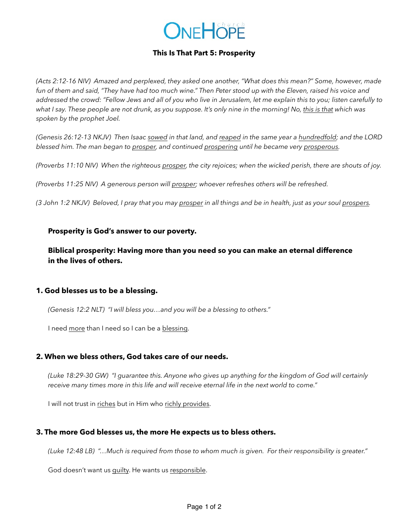# ONEHOPE

# **This Is That Part 5: Prosperity**

*(Acts 2:12-16 NIV) Amazed and perplexed, they asked one another, "What does this mean?" Some, however, made*  fun of them and said, "They have had too much wine." Then Peter stood up with the Eleven, raised his voice and *addressed the crowd: "Fellow Jews and all of you who live in Jerusalem, let me explain this to you; listen carefully to what I say. These people are not drunk, as you suppose. It's only nine in the morning! No, this is that which was spoken by the prophet Joel.*

*(Genesis 26:12-13 NKJV) Then Isaac sowed in that land, and reaped in the same year a hundredfold; and the LORD blessed him. The man began to prosper, and continued prospering until he became very prosperous.*

*(Proverbs 11:10 NIV) When the righteous prosper, the city rejoices; when the wicked perish, there are shouts of joy.* 

*(Proverbs 11:25 NIV) A generous person will prosper; whoever refreshes others will be refreshed.* 

*(3 John 1:2 NKJV) Beloved, I pray that you may prosper in all things and be in health, just as your soul prospers.* 

#### **Prosperity is God's answer to our poverty.**

**Biblical prosperity: Having more than you need so you can make an eternal difference in the lives of others.**

#### **1. God blesses us to be a blessing.**

*(Genesis 12:2 NLT) "I will bless you…and you will be a blessing to others."* 

I need more than I need so I can be a blessing.

### **2. When we bless others, God takes care of our needs.**

*(Luke 18:29-30 GW) "I guarantee this. Anyone who gives up anything for the kingdom of God will certainly receive many times more in this life and will receive eternal life in the next world to come."* 

I will not trust in riches but in Him who richly provides.

### **3. The more God blesses us, the more He expects us to bless others.**

*(Luke 12:48 LB) "…Much is required from those to whom much is given. For their responsibility is greater."* 

God doesn't want us guilty. He wants us responsible.